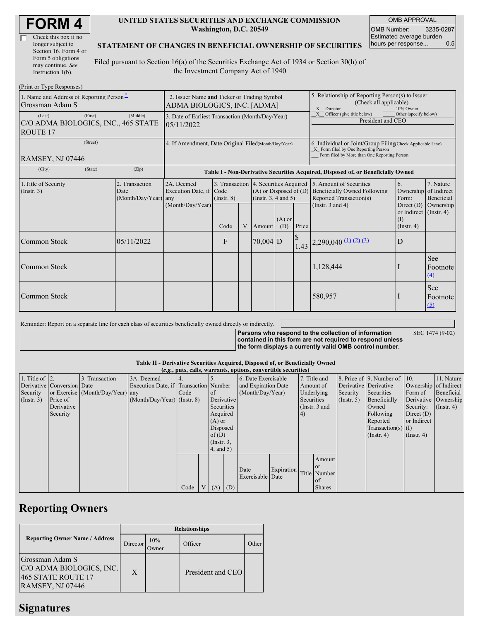| Check this box if no  |
|-----------------------|
| longer subject to     |
| Section 16. Form 4 or |
| Form 5 obligations    |
| may continue. See     |
| Instruction 1(b).     |

### **UNITED STATES SECURITIES AND EXCHANGE COMMISSION Washington, D.C. 20549**

OMB APPROVAL OMB Number: 3235-0287 Estimated average burden hours per response... 0.5

## **STATEMENT OF CHANGES IN BENEFICIAL OWNERSHIP OF SECURITIES**

Filed pursuant to Section 16(a) of the Securities Exchange Act of 1934 or Section 30(h) of the Investment Company Act of 1940

| (Print or Type Responses)                                        |                                                                            |                                                |                                                                                  |                         |   |                                                                                                                              |                                                                                                                                                    |              |                                                                                                                    |                                                                                                           |                                      |
|------------------------------------------------------------------|----------------------------------------------------------------------------|------------------------------------------------|----------------------------------------------------------------------------------|-------------------------|---|------------------------------------------------------------------------------------------------------------------------------|----------------------------------------------------------------------------------------------------------------------------------------------------|--------------|--------------------------------------------------------------------------------------------------------------------|-----------------------------------------------------------------------------------------------------------|--------------------------------------|
| 1. Name and Address of Reporting Person-<br>Grossman Adam S      | 2. Issuer Name and Ticker or Trading Symbol<br>ADMA BIOLOGICS, INC. [ADMA] |                                                |                                                                                  |                         |   | 5. Relationship of Reporting Person(s) to Issuer<br>(Check all applicable)<br>X Director<br>10% Owner                        |                                                                                                                                                    |              |                                                                                                                    |                                                                                                           |                                      |
| (Last)<br>C/O ADMA BIOLOGICS, INC., 465 STATE<br><b>ROUTE 17</b> | 3. Date of Earliest Transaction (Month/Day/Year)<br>105/11/2022            |                                                |                                                                                  |                         |   |                                                                                                                              | Officer (give title below)<br>Other (specify below)<br>President and CEO                                                                           |              |                                                                                                                    |                                                                                                           |                                      |
| RAMSEY, NJ 07446                                                 | 4. If Amendment, Date Original Filed(Month/Day/Year)                       |                                                |                                                                                  |                         |   |                                                                                                                              | 6. Individual or Joint/Group Filing Check Applicable Line)<br>X Form filed by One Reporting Person<br>Form filed by More than One Reporting Person |              |                                                                                                                    |                                                                                                           |                                      |
| (City)                                                           | (State)                                                                    | (Zip)                                          | Table I - Non-Derivative Securities Acquired, Disposed of, or Beneficially Owned |                         |   |                                                                                                                              |                                                                                                                                                    |              |                                                                                                                    |                                                                                                           |                                      |
| 1. Title of Security<br>(Insert. 3)                              |                                                                            | 2. Transaction<br>Date<br>(Month/Day/Year) any | 2A. Deemed<br>Execution Date, if Code<br>(Month/Day/Year)                        | $($ Instr. $8)$<br>Code | V | 3. Transaction 4. Securities Acquired<br>$(A)$ or Disposed of $(D)$<br>(Instr. $3, 4$ and $5$ )<br>$(A)$ or<br>(D)<br>Amount |                                                                                                                                                    | Price        | 5. Amount of Securities<br><b>Beneficially Owned Following</b><br>Reported Transaction(s)<br>(Instr. $3$ and $4$ ) | 6.<br>Ownership of Indirect<br>Form:<br>Direct $(D)$<br>or Indirect (Instr. 4)<br>(I)<br>$($ Instr. 4 $)$ | 7. Nature<br>Beneficial<br>Ownership |
| Common Stock                                                     |                                                                            | 05/11/2022                                     |                                                                                  | F                       |   | $70,004$ D                                                                                                                   |                                                                                                                                                    | $\mathbb{S}$ | $1.43$ $2,290,040$ (1) (2) (3)                                                                                     | D                                                                                                         |                                      |
| Common Stock                                                     |                                                                            |                                                |                                                                                  |                         |   |                                                                                                                              |                                                                                                                                                    |              | 1,128,444                                                                                                          |                                                                                                           | See<br>Footnote<br>$\left(4\right)$  |
| Common Stock                                                     |                                                                            |                                                |                                                                                  |                         |   |                                                                                                                              |                                                                                                                                                    |              | 580,957                                                                                                            |                                                                                                           | <b>See</b><br>Footnote<br>$\Omega$   |

Reminder: Report on a separate line for each class of securities beneficially owned directly or indirectly.

**Persons who respond to the collection of information contained in this form are not required to respond unless the form displays a currently valid OMB control number.** SEC 1474 (9-02)

#### **Table II - Derivative Securities Acquired, Disposed of, or Beneficially Owned (***e.g.***, puts, calls, warrants, options, convertible securities)**

|                        | $(c, \zeta, \mu\omega, \zeta)$ cans, wall alles, options, convertible securities) |                                  |                                       |      |                |                 |            |                     |            |            |               |                       |                              |                       |               |
|------------------------|-----------------------------------------------------------------------------------|----------------------------------|---------------------------------------|------|----------------|-----------------|------------|---------------------|------------|------------|---------------|-----------------------|------------------------------|-----------------------|---------------|
| 1. Title of $\vert$ 2. |                                                                                   | 3. Transaction                   | 3A. Deemed                            |      |                |                 |            | 6. Date Exercisable |            |            | 7. Title and  |                       | 8. Price of 9. Number of 10. |                       | 11. Nature    |
|                        | Derivative Conversion Date                                                        |                                  | Execution Date, if Transaction Number |      |                |                 |            | and Expiration Date |            | Amount of  |               | Derivative Derivative |                              | Ownership of Indirect |               |
| Security               |                                                                                   | or Exercise (Month/Day/Year) any |                                       | Code |                | of              |            | (Month/Day/Year)    |            |            | Underlying    | Security              | Securities                   | Form of               | Beneficial    |
| $($ Instr. 3 $)$       | Price of                                                                          |                                  | $(Month/Day/Year)$ (Instr. 8)         |      |                | Derivative      |            |                     |            | Securities |               | $($ Instr. 5)         | Beneficially                 | Derivative Ownership  |               |
|                        | Derivative                                                                        |                                  |                                       |      |                | Securities      |            |                     |            |            | (Instr. 3 and |                       | Owned                        | Security:             | $($ Instr. 4) |
|                        | Security                                                                          |                                  |                                       |      |                | Acquired        |            |                     |            | (4)        |               |                       | Following                    | Direct $(D)$          |               |
|                        |                                                                                   |                                  |                                       |      |                | $(A)$ or        |            |                     |            |            |               |                       | Reported                     | or Indirect           |               |
|                        |                                                                                   |                                  |                                       |      |                | Disposed        |            |                     |            |            |               |                       | $Transaction(s)$ (I)         |                       |               |
|                        |                                                                                   |                                  |                                       |      |                | of(D)           |            |                     |            |            |               |                       | $($ Instr. 4 $)$             | $($ Instr. 4 $)$      |               |
|                        |                                                                                   |                                  |                                       |      |                | $($ Instr. $3,$ |            |                     |            |            |               |                       |                              |                       |               |
|                        |                                                                                   |                                  |                                       |      |                | $4$ , and $5$ ) |            |                     |            |            |               |                       |                              |                       |               |
|                        |                                                                                   |                                  |                                       |      |                |                 |            |                     |            |            | Amount        |                       |                              |                       |               |
|                        |                                                                                   |                                  |                                       |      |                |                 |            |                     |            |            | <b>or</b>     |                       |                              |                       |               |
|                        |                                                                                   |                                  |                                       |      |                |                 |            | Date                | Expiration |            | Title Number  |                       |                              |                       |               |
|                        |                                                                                   |                                  |                                       |      |                |                 |            | Exercisable Date    |            |            | of            |                       |                              |                       |               |
|                        |                                                                                   |                                  |                                       | Code | V <sub>1</sub> | (A)             | $\mid$ (D) |                     |            |            | <b>Shares</b> |                       |                              |                       |               |

# **Reporting Owners**

|                                                                                                     | <b>Relationships</b> |              |                   |         |  |  |  |  |  |
|-----------------------------------------------------------------------------------------------------|----------------------|--------------|-------------------|---------|--|--|--|--|--|
| <b>Reporting Owner Name / Address</b>                                                               | Director             | 10%<br>Owner | Officer           | : Other |  |  |  |  |  |
| Grossman Adam S<br>C/O ADMA BIOLOGICS, INC.<br><b>465 STATE ROUTE 17</b><br><b>RAMSEY, NJ 07446</b> | X                    |              | President and CEO |         |  |  |  |  |  |

## **Signatures**